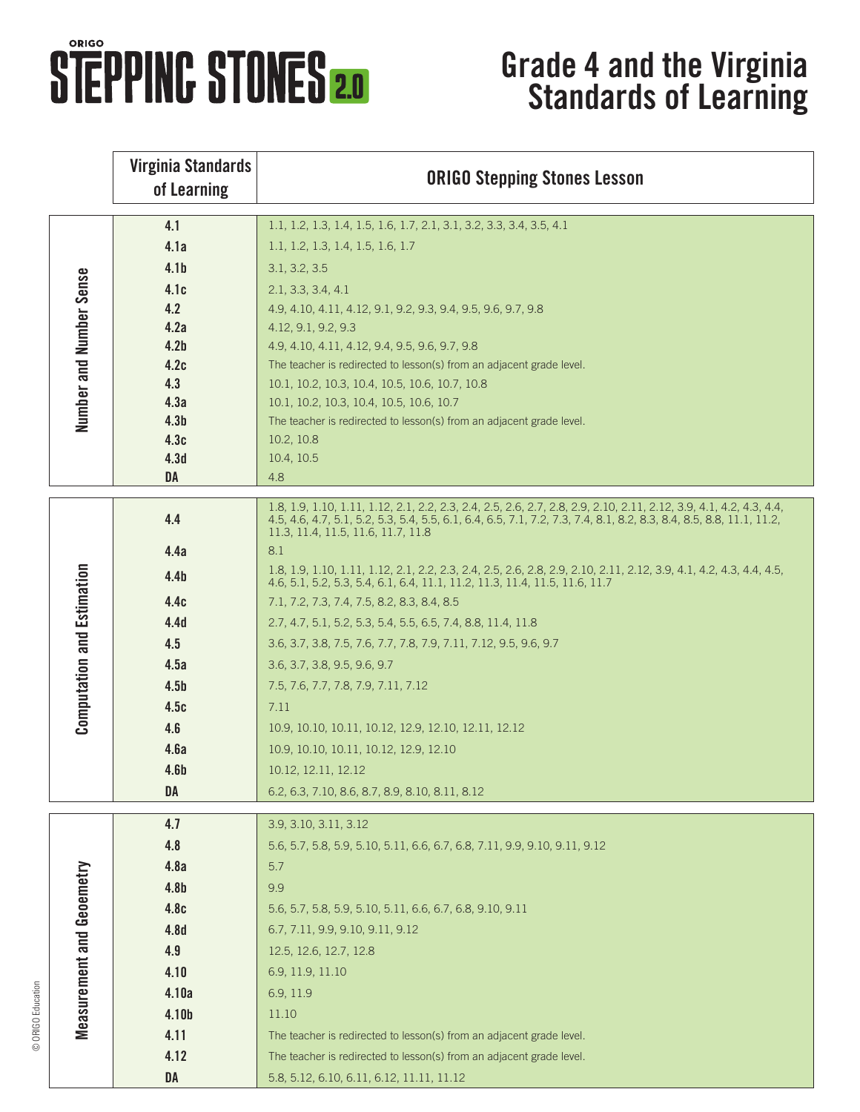## **STEPPINC STONES 2.0**

## **Grade 4 and the Virginia Standards of Learning**

|                                   | <b>Virginia Standards</b><br>of Learning | <b>ORIGO Stepping Stones Lesson</b>                                                                                                                                                                |
|-----------------------------------|------------------------------------------|----------------------------------------------------------------------------------------------------------------------------------------------------------------------------------------------------|
| Number and Number Sense           | 4.1                                      | 1.1, 1.2, 1.3, 1.4, 1.5, 1.6, 1.7, 2.1, 3.1, 3.2, 3.3, 3.4, 3.5, 4.1                                                                                                                               |
|                                   | 4.1a                                     | 1.1, 1.2, 1.3, 1.4, 1.5, 1.6, 1.7                                                                                                                                                                  |
|                                   | 4.1 <sub>b</sub>                         | 3.1, 3.2, 3.5                                                                                                                                                                                      |
|                                   | 4.1c                                     | 2.1, 3.3, 3.4, 4.1                                                                                                                                                                                 |
|                                   | 4.2                                      | 4.9, 4.10, 4.11, 4.12, 9.1, 9.2, 9.3, 9.4, 9.5, 9.6, 9.7, 9.8                                                                                                                                      |
|                                   | 4.2a                                     | 4.12, 9.1, 9.2, 9.3                                                                                                                                                                                |
|                                   | 4.2 <sub>b</sub>                         | 4.9, 4.10, 4.11, 4.12, 9.4, 9.5, 9.6, 9.7, 9.8                                                                                                                                                     |
|                                   | 4.2c                                     | The teacher is redirected to lesson(s) from an adjacent grade level.                                                                                                                               |
|                                   | 4.3                                      | 10.1, 10.2, 10.3, 10.4, 10.5, 10.6, 10.7, 10.8                                                                                                                                                     |
|                                   | 4.3a                                     | 10.1, 10.2, 10.3, 10.4, 10.5, 10.6, 10.7                                                                                                                                                           |
|                                   | 4.3 <sub>b</sub><br>4.3c                 | The teacher is redirected to lesson(s) from an adjacent grade level.<br>10.2, 10.8                                                                                                                 |
|                                   | 4.3 <sub>d</sub>                         | 10.4, 10.5                                                                                                                                                                                         |
|                                   | <b>DA</b>                                | 4.8                                                                                                                                                                                                |
| <b>Computation and Estimation</b> |                                          | 1.8, 1.9, 1.10, 1.11, 1.12, 2.1, 2.2, 2.3, 2.4, 2.5, 2.6, 2.7, 2.8, 2.9, 2.10, 2.11, 2.12, 3.9, 4.1, 4.2, 4.3, 4.4,                                                                                |
|                                   | 4.4                                      | 4.5, 4.6, 4.7, 5.1, 5.2, 5.3, 5.4, 5.5, 6.1, 6.4, 6.5, 7.1, 7.2, 7.3, 7.4, 8.1, 8.2, 8.3, 8.4, 8.5, 8.8, 11.1, 11.2,<br>11.3, 11.4, 11.5, 11.6, 11.7, 11.8                                         |
|                                   | 4.4a                                     | 8.1                                                                                                                                                                                                |
|                                   | 4.4 <sub>b</sub>                         | 1.8, 1.9, 1.10, 1.11, 1.12, 2.1, 2.2, 2.3, 2.4, 2.5, 2.6, 2.8, 2.9, 2.10, 2.11, 2.12, 3.9, 4.1, 4.2, 4.3, 4.4, 4.5,<br>4.6, 5.1, 5.2, 5.3, 5.4, 6.1, 6.4, 11.1, 11.2, 11.3, 11.4, 11.5, 11.6, 11.7 |
|                                   | 4.4c                                     | 7.1, 7.2, 7.3, 7.4, 7.5, 8.2, 8.3, 8.4, 8.5                                                                                                                                                        |
|                                   | 4.4 <sub>d</sub>                         | 2.7, 4.7, 5.1, 5.2, 5.3, 5.4, 5.5, 6.5, 7.4, 8.8, 11.4, 11.8                                                                                                                                       |
|                                   | 4.5                                      | 3.6, 3.7, 3.8, 7.5, 7.6, 7.7, 7.8, 7.9, 7.11, 7.12, 9.5, 9.6, 9.7                                                                                                                                  |
|                                   | 4.5a                                     | 3.6, 3.7, 3.8, 9.5, 9.6, 9.7                                                                                                                                                                       |
|                                   | 4.5 <sub>b</sub>                         | 7.5, 7.6, 7.7, 7.8, 7.9, 7.11, 7.12                                                                                                                                                                |
|                                   | 4.5c                                     | 7.11                                                                                                                                                                                               |
|                                   | 4.6                                      | 10.9, 10.10, 10.11, 10.12, 12.9, 12.10, 12.11, 12.12                                                                                                                                               |
|                                   | 4.6a                                     | 10.9, 10.10, 10.11, 10.12, 12.9, 12.10                                                                                                                                                             |
|                                   | 4.6 <sub>b</sub>                         | 10.12, 12.11, 12.12                                                                                                                                                                                |
|                                   | DA                                       | 6.2, 6.3, 7.10, 8.6, 8.7, 8.9, 8.10, 8.11, 8.12                                                                                                                                                    |
|                                   | 4.7                                      | 3.9, 3.10, 3.11, 3.12                                                                                                                                                                              |
|                                   | 4.8                                      | 5.6, 5.7, 5.8, 5.9, 5.10, 5.11, 6.6, 6.7, 6.8, 7.11, 9.9, 9.10, 9.11, 9.12                                                                                                                         |
|                                   | 4.8a                                     | 5.7                                                                                                                                                                                                |
|                                   | 4.8 <sub>b</sub>                         | 9.9                                                                                                                                                                                                |
|                                   | 4.8c                                     | 5.6, 5.7, 5.8, 5.9, 5.10, 5.11, 6.6, 6.7, 6.8, 9.10, 9.11                                                                                                                                          |
|                                   | 4.8 <sub>d</sub>                         | 6.7, 7.11, 9.9, 9.10, 9.11, 9.12                                                                                                                                                                   |
|                                   | 4.9                                      | 12.5, 12.6, 12.7, 12.8                                                                                                                                                                             |
| Measurement and Geoemetry         | 4.10                                     | 6.9, 11.9, 11.10                                                                                                                                                                                   |
|                                   | 4.10a                                    | 6.9, 11.9                                                                                                                                                                                          |
|                                   | 4.10b                                    | 11.10                                                                                                                                                                                              |
|                                   | 4.11                                     | The teacher is redirected to lesson(s) from an adjacent grade level.                                                                                                                               |
|                                   | 4.12                                     | The teacher is redirected to lesson(s) from an adjacent grade level.                                                                                                                               |
|                                   | DA                                       | 5.8, 5.12, 6.10, 6.11, 6.12, 11.11, 11.12                                                                                                                                                          |

© ORIGO Education © ORIGO Education